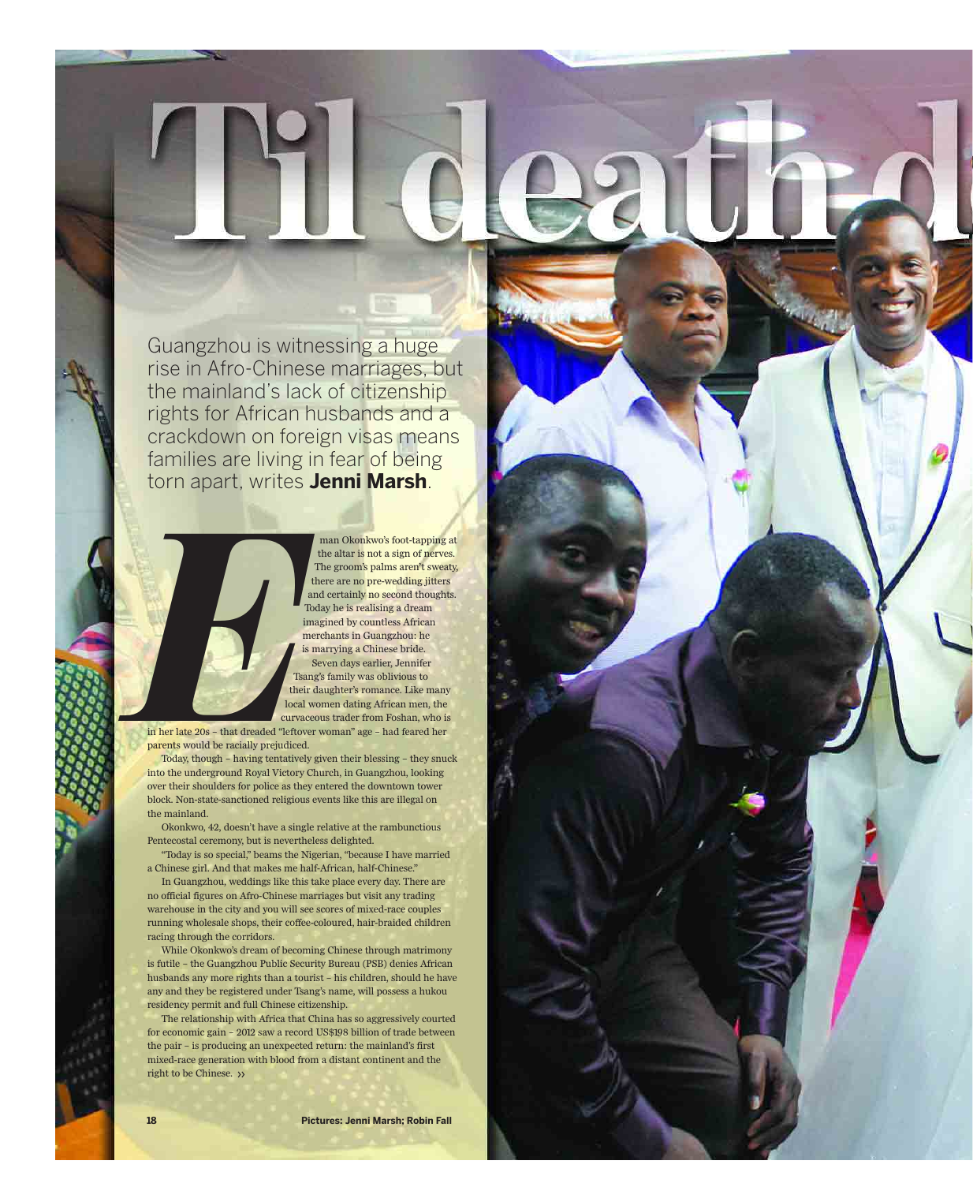Guangzhou is witnessing a huge rise in Afro-Chinese marriages, but the mainland's lack of citizenship rights for African husbands and a crackdown on foreign visas means families are living in fear of being torn apart, writes **Jenni Marsh**.



man Okonkwo's foot-tapping at the altar is not a sign of nerves. The groom's palms aren't sweaty, there are no pre-wedding jitters and certainly no second thoughts. Today he is realising a dream imagined by countless African merchants in Guangzhou: he is marrying a Chinese bride. Seven days earlier, Jennifer Tsang's family was oblivious to their daughter's romance. Like many local women dating African men, the curvaceous trader from Foshan, who is

**Til death do**

in her late 20s – that dreaded "leftover woman" age – had feared her parents would be racially prejudiced.

Today, though – having tentatively given their blessing – they snuck into the underground Royal Victory Church, in Guangzhou, looking over their shoulders for police as they entered the downtown tower block. Non-state-sanctioned religious events like this are illegal on the mainland.

Okonkwo, 42, doesn't have a single relative at the rambunctious Pentecostal ceremony, but is nevertheless delighted.

"Today is so special," beams the Nigerian, "because I have married a Chinese girl. And that makes me half-African, half-Chinese."

In Guangzhou, weddings like this take place every day. There are no official figures on Afro-Chinese marriages but visit any trading warehouse in the city and you will see scores of mixed-race couples running wholesale shops, their coffee-coloured, hair-braided children racing through the corridors.

While Okonkwo's dream of becoming Chinese through matrimony is futile – the Guangzhou Public Security Bureau (PSB) denies African husbands any more rights than a tourist – his children, should he have any and they be registered under Tsang's name, will possess a hukou residency permit and full Chinese citizenship.

The relationship with Africa that China has so aggressively courted for economic gain – 2012 saw a record US\$198 billion of trade between the pair – is producing an unexpected return: the mainland's first mixed-race generation with blood from a distant continent and the right to be Chinese. >>

**18**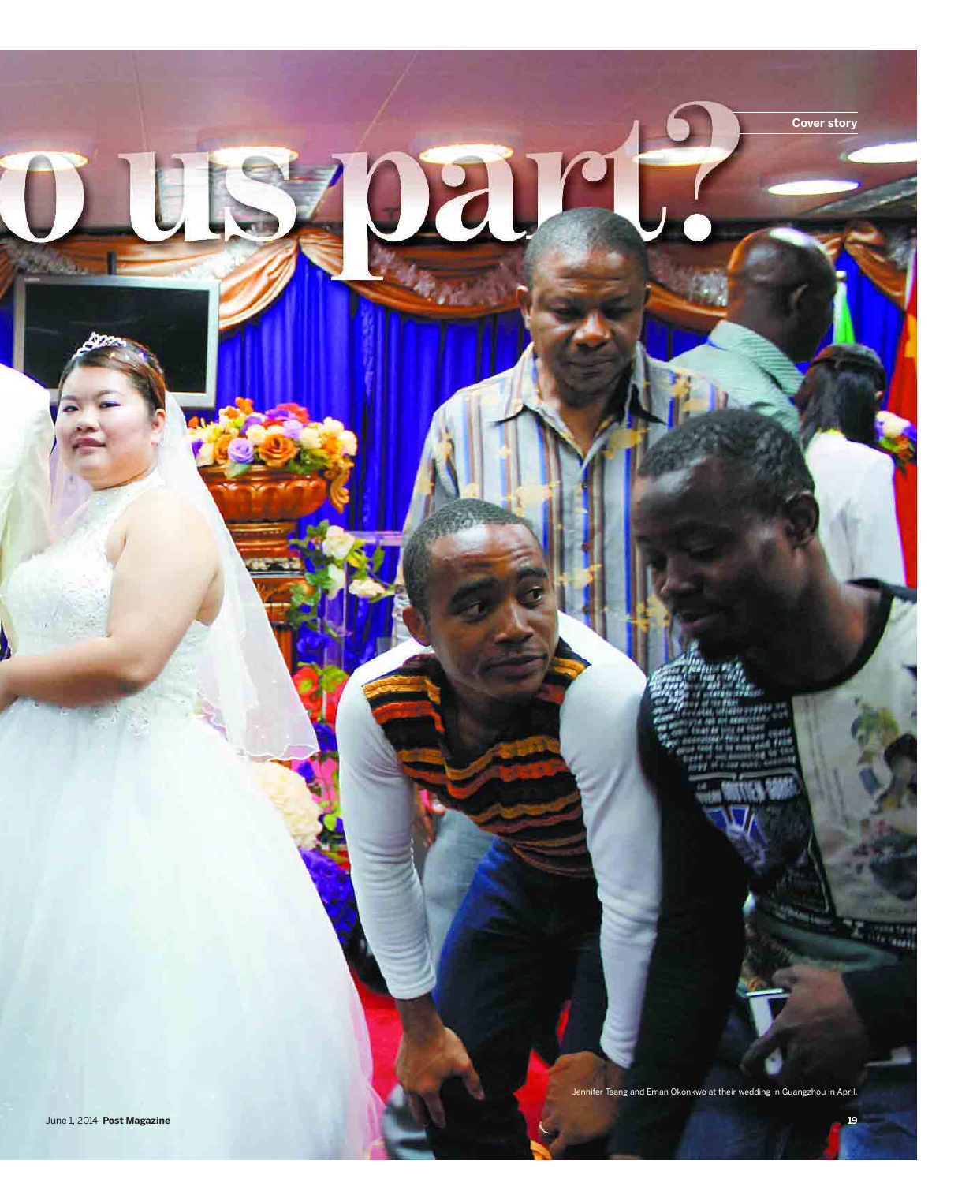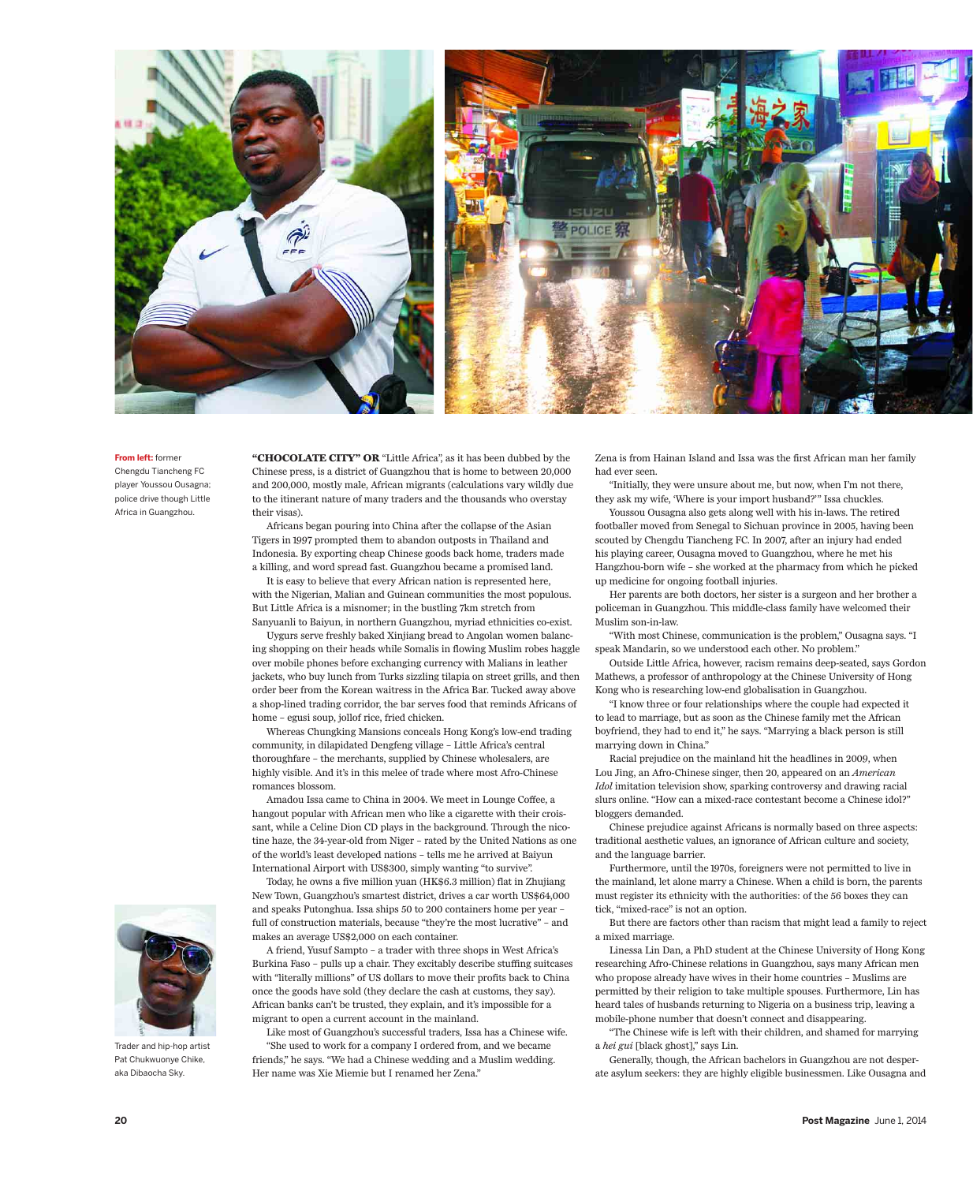

## **From left:** former

Chengdu Tiancheng FC player Youssou Ousagna; police drive though Little Africa in Guangzhou.

**"CHOCOLATE CITY" OR** "Little Africa", as it has been dubbed by the Chinese press, is a district of Guangzhou that is home to between 20,000 and 200,000, mostly male, African migrants (calculations vary wildly due to the itinerant nature of many traders and the thousands who overstay their visas).

Africans began pouring into China after the collapse of the Asian Tigers in 1997 prompted them to abandon outposts in Thailand and Indonesia. By exporting cheap Chinese goods back home, traders made a killing, and word spread fast. Guangzhou became a promised land.

It is easy to believe that every African nation is represented here, with the Nigerian, Malian and Guinean communities the most populous. But Little Africa is a misnomer; in the bustling 7km stretch from Sanyuanli to Baiyun, in northern Guangzhou, myriad ethnicities co-exist.

Uygurs serve freshly baked Xinjiang bread to Angolan women balancing shopping on their heads while Somalis in flowing Muslim robes haggle over mobile phones before exchanging currency with Malians in leather jackets, who buy lunch from Turks sizzling tilapia on street grills, and then order beer from the Korean waitress in the Africa Bar. Tucked away above a shop-lined trading corridor, the bar serves food that reminds Africans of home – egusi soup, jollof rice, fried chicken.

Whereas Chungking Mansions conceals Hong Kong's low-end trading community, in dilapidated Dengfeng village – Little Africa's central thoroughfare – the merchants, supplied by Chinese wholesalers, are highly visible. And it's in this melee of trade where most Afro-Chinese romances blossom.

Amadou Issa came to China in 2004. We meet in Lounge Coffee, a hangout popular with African men who like a cigarette with their croissant, while a Celine Dion CD plays in the background. Through the nicotine haze, the 34-year-old from Niger – rated by the United Nations as one of the world's least developed nations – tells me he arrived at Baiyun International Airport with US\$300, simply wanting "to survive".

Today, he owns a five million yuan (HK\$6.3 million) flat in Zhujiang New Town, Guangzhou's smartest district, drives a car worth US\$64,000 and speaks Putonghua. Issa ships 50 to 200 containers home per year – full of construction materials, because "they're the most lucrative" – and makes an average US\$2,000 on each container.

A friend, Yusuf Sampto – a trader with three shops in West Africa's Burkina Faso – pulls up a chair. They excitably describe stuffing suitcases with "literally millions" of US dollars to move their profits back to China once the goods have sold (they declare the cash at customs, they say). African banks can't be trusted, they explain, and it's impossible for a migrant to open a current account in the mainland.

Like most of Guangzhou's successful traders, Issa has a Chinese wife. "She used to work for a company I ordered from, and we became friends," he says. "We had a Chinese wedding and a Muslim wedding. Her name was Xie Miemie but I renamed her Zena."

Zena is from Hainan Island and Issa was the first African man her family had ever seen.

"Initially, they were unsure about me, but now, when I'm not there, they ask my wife, 'Where is your import husband?'" Issa chuckles.

Youssou Ousagna also gets along well with his in-laws. The retired footballer moved from Senegal to Sichuan province in 2005, having been scouted by Chengdu Tiancheng FC. In 2007, after an injury had ended his playing career, Ousagna moved to Guangzhou, where he met his Hangzhou-born wife – she worked at the pharmacy from which he picked up medicine for ongoing football injuries.

Her parents are both doctors, her sister is a surgeon and her brother a policeman in Guangzhou. This middle-class family have welcomed their Muslim son-in-law.

"With most Chinese, communication is the problem," Ousagna says. "I speak Mandarin, so we understood each other. No problem."

Outside Little Africa, however, racism remains deep-seated, says Gordon Mathews, a professor of anthropology at the Chinese University of Hong Kong who is researching low-end globalisation in Guangzhou.

"I know three or four relationships where the couple had expected it to lead to marriage, but as soon as the Chinese family met the African boyfriend, they had to end it," he says. "Marrying a black person is still marrying down in China."

Racial prejudice on the mainland hit the headlines in 2009, when Lou Jing, an Afro-Chinese singer, then 20, appeared on an *American Idol* imitation television show, sparking controversy and drawing racial slurs online. "How can a mixed-race contestant become a Chinese idol?" bloggers demanded.

Chinese prejudice against Africans is normally based on three aspects: traditional aesthetic values, an ignorance of African culture and society, and the language barrier.

Furthermore, until the 1970s, foreigners were not permitted to live in the mainland, let alone marry a Chinese. When a child is born, the parents must register its ethnicity with the authorities: of the 56 boxes they can tick, "mixed-race" is not an option.

But there are factors other than racism that might lead a family to reject a mixed marriage.

Linessa Lin Dan, a PhD student at the Chinese University of Hong Kong researching Afro-Chinese relations in Guangzhou, says many African men who propose already have wives in their home countries – Muslims are permitted by their religion to take multiple spouses. Furthermore, Lin has heard tales of husbands returning to Nigeria on a business trip, leaving a mobile-phone number that doesn't connect and disappearing.

"The Chinese wife is left with their children, and shamed for marrying a *hei gui* [black ghost]," says Lin.

Generally, though, the African bachelors in Guangzhou are not desperate asylum seekers: they are highly eligible businessmen. Like Ousagna and



Trader and hip-hop artist Pat Chukwuonye Chike, aka Dibaocha Sky.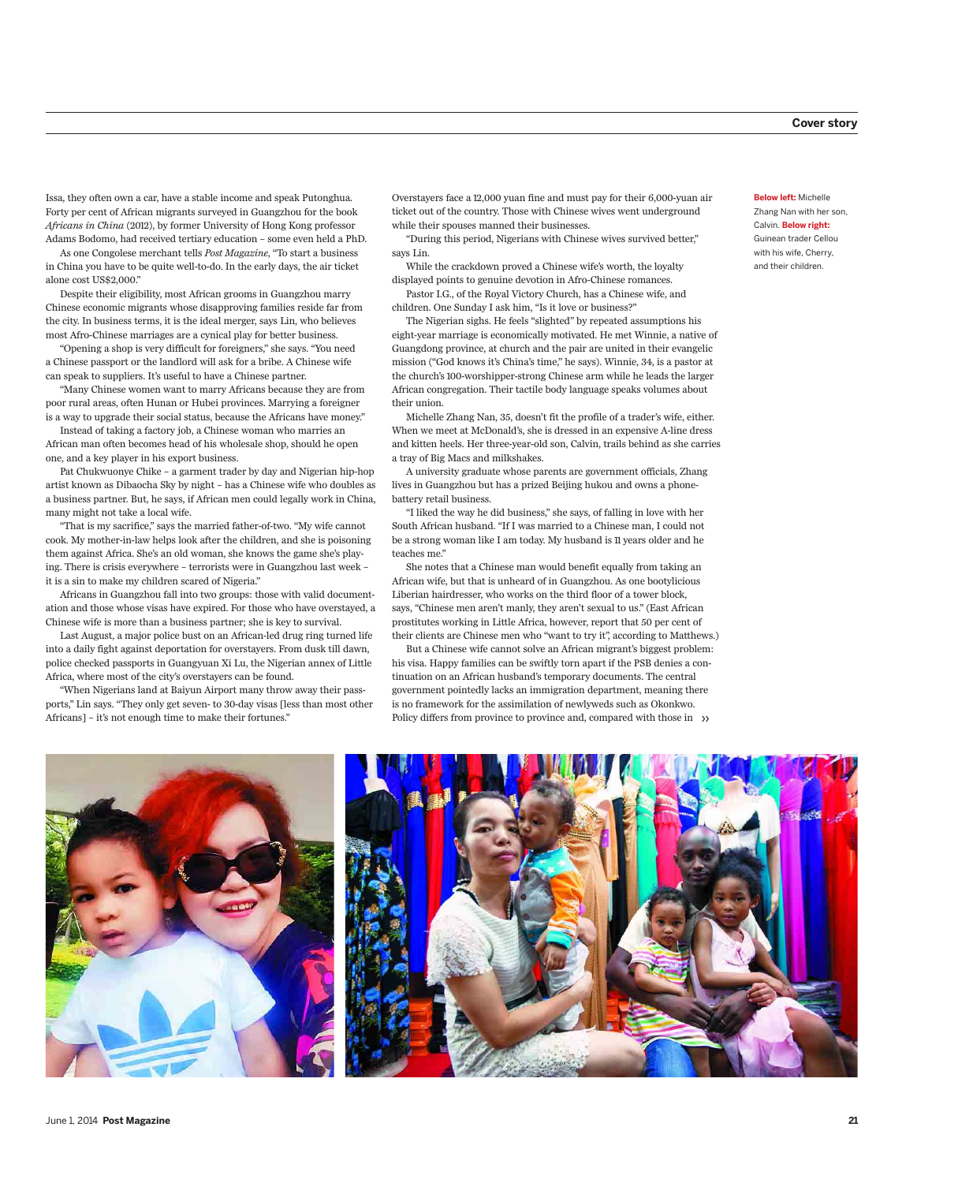Issa, they often own a car, have a stable income and speak Putonghua. Forty per cent of African migrants surveyed in Guangzhou for the book *Africans in China* (2012), by former University of Hong Kong professor Adams Bodomo, had received tertiary education – some even held a PhD.

As one Congolese merchant tells *Post Magazine*, "To start a business in China you have to be quite well-to-do. In the early days, the air ticket alone cost US\$2,000."

Despite their eligibility, most African grooms in Guangzhou marry Chinese economic migrants whose disapproving families reside far from the city. In business terms, it is the ideal merger, says Lin, who believes most Afro-Chinese marriages are a cynical play for better business.

"Opening a shop is very difficult for foreigners," she says. "You need a Chinese passport or the landlord will ask for a bribe. A Chinese wife can speak to suppliers. It's useful to have a Chinese partner.

"Many Chinese women want to marry Africans because they are from poor rural areas, often Hunan or Hubei provinces. Marrying a foreigner is a way to upgrade their social status, because the Africans have money."

Instead of taking a factory job, a Chinese woman who marries an African man often becomes head of his wholesale shop, should he open one, and a key player in his export business.

Pat Chukwuonye Chike – a garment trader by day and Nigerian hip-hop artist known as Dibaocha Sky by night – has a Chinese wife who doubles as a business partner. But, he says, if African men could legally work in China, many might not take a local wife.

"That is my sacrifice," says the married father-of-two. "My wife cannot cook. My mother-in-law helps look after the children, and she is poisoning them against Africa. She's an old woman, she knows the game she's playing. There is crisis everywhere – terrorists were in Guangzhou last week – it is a sin to make my children scared of Nigeria."

Africans in Guangzhou fall into two groups: those with valid documentation and those whose visas have expired. For those who have overstayed, a Chinese wife is more than a business partner; she is key to survival.

Last August, a major police bust on an African-led drug ring turned life into a daily fight against deportation for overstayers. From dusk till dawn, police checked passports in Guangyuan Xi Lu, the Nigerian annex of Little Africa, where most of the city's overstayers can be found.

"When Nigerians land at Baiyun Airport many throw away their passports," Lin says. "They only get seven- to 30-day visas [less than most other Africans] – it's not enough time to make their fortunes."

Overstayers face a 12,000 yuan fine and must pay for their 6,000-yuan air ticket out of the country. Those with Chinese wives went underground while their spouses manned their businesses.

"During this period, Nigerians with Chinese wives survived better," says Lin.

While the crackdown proved a Chinese wife's worth, the loyalty displayed points to genuine devotion in Afro-Chinese romances.

Pastor I.G., of the Royal Victory Church, has a Chinese wife, and children. One Sunday I ask him, "Is it love or business?"

The Nigerian sighs. He feels "slighted" by repeated assumptions his eight-year marriage is economically motivated. He met Winnie, a native of Guangdong province, at church and the pair are united in their evangelic mission ("God knows it's China's time," he says). Winnie, 34, is a pastor at the church's 100-worshipper-strong Chinese arm while he leads the larger African congregation. Their tactile body language speaks volumes about their union.

Michelle Zhang Nan, 35, doesn't fit the profile of a trader's wife, either. When we meet at McDonald's, she is dressed in an expensive A-line dress and kitten heels. Her three-year-old son, Calvin, trails behind as she carries a tray of Big Macs and milkshakes.

A university graduate whose parents are government officials, Zhang lives in Guangzhou but has a prized Beijing hukou and owns a phonebattery retail business.

"I liked the way he did business," she says, of falling in love with her South African husband. "If I was married to a Chinese man, I could not be a strong woman like I am today. My husband is 11 years older and he teaches me."

She notes that a Chinese man would benefit equally from taking an African wife, but that is unheard of in Guangzhou. As one bootylicious Liberian hairdresser, who works on the third floor of a tower block, says, "Chinese men aren't manly, they aren't sexual to us." (East African prostitutes working in Little Africa, however, report that 50 per cent of their clients are Chinese men who "want to try it", according to Matthews.)

But a Chinese wife cannot solve an African migrant's biggest problem: his visa. Happy families can be swiftly torn apart if the PSB denies a continuation on an African husband's temporary documents. The central government pointedly lacks an immigration department, meaning there is no framework for the assimilation of newlyweds such as Okonkwo. Policy differs from province to province and, compared with those in  $\rightarrow$ 

**Below left:** Michelle Zhang Nan with her son, Calvin. **Below right:** Guinean trader Cellou with his wife, Cherry, and their children.

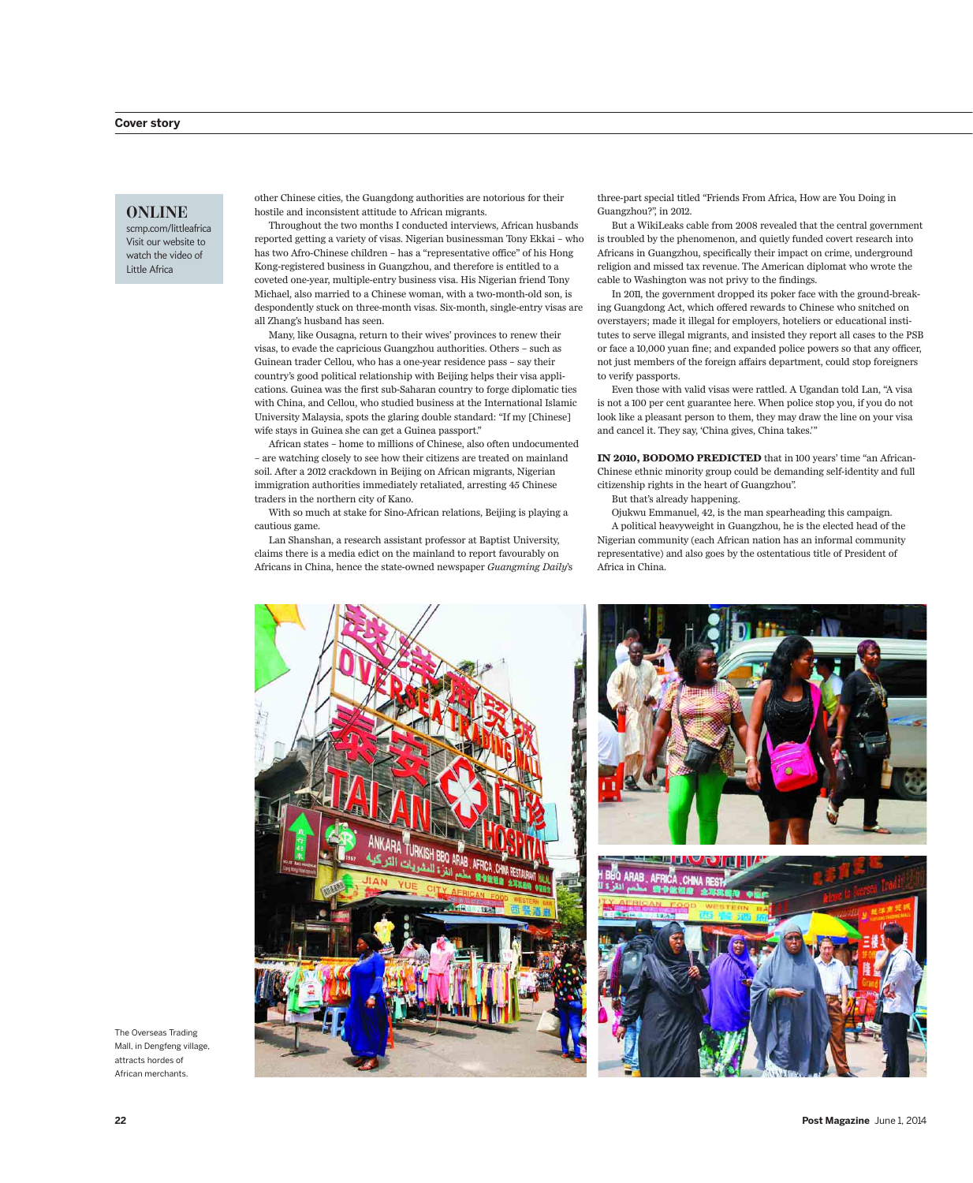## **ONLINE**

scmp.com/littleafrica Visit our website to watch the video of Little Africa

other Chinese cities, the Guangdong authorities are notorious for their hostile and inconsistent attitude to African migrants.

Throughout the two months I conducted interviews, African husbands reported getting a variety of visas. Nigerian businessman Tony Ekkai – who has two Afro-Chinese children – has a "representative office" of his Hong Kong-registered business in Guangzhou, and therefore is entitled to a coveted one-year, multiple-entry business visa. His Nigerian friend Tony Michael, also married to a Chinese woman, with a two-month-old son, is despondently stuck on three-month visas. Six-month, single-entry visas are all Zhang's husband has seen.

Many, like Ousagna, return to their wives' provinces to renew their visas, to evade the capricious Guangzhou authorities. Others – such as Guinean trader Cellou, who has a one-year residence pass – say their country's good political relationship with Beijing helps their visa applications. Guinea was the first sub-Saharan country to forge diplomatic ties with China, and Cellou, who studied business at the International Islamic University Malaysia, spots the glaring double standard: "If my [Chinese] wife stays in Guinea she can get a Guinea passport."

African states – home to millions of Chinese, also often undocumented – are watching closely to see how their citizens are treated on mainland soil. After a 2012 crackdown in Beijing on African migrants, Nigerian immigration authorities immediately retaliated, arresting 45 Chinese traders in the northern city of Kano.

With so much at stake for Sino-African relations, Beijing is playing a cautious game.

Lan Shanshan, a research assistant professor at Baptist University, claims there is a media edict on the mainland to report favourably on Africans in China, hence the state-owned newspaper *Guangming Daily*'s three-part special titled "Friends From Africa, How are You Doing in Guangzhou?", in 2012.

But a WikiLeaks cable from 2008 revealed that the central government is troubled by the phenomenon, and quietly funded covert research into Africans in Guangzhou, specifically their impact on crime, underground religion and missed tax revenue. The American diplomat who wrote the cable to Washington was not privy to the findings.

In 2011, the government dropped its poker face with the ground-breaking Guangdong Act, which offered rewards to Chinese who snitched on overstayers; made it illegal for employers, hoteliers or educational institutes to serve illegal migrants, and insisted they report all cases to the PSB or face a 10,000 yuan fine; and expanded police powers so that any officer, not just members of the foreign affairs department, could stop foreigners to verify passports.

Even those with valid visas were rattled. A Ugandan told Lan, "A visa is not a 100 per cent guarantee here. When police stop you, if you do not look like a pleasant person to them, they may draw the line on your visa and cancel it. They say, 'China gives, China takes.'"

**IN 2010, BODOMO PREDICTED** that in 100 years' time "an African-Chinese ethnic minority group could be demanding self-identity and full citizenship rights in the heart of Guangzhou".

But that's already happening.

Ojukwu Emmanuel, 42, is the man spearheading this campaign.

A political heavyweight in Guangzhou, he is the elected head of the Nigerian community (each African nation has an informal community representative) and also goes by the ostentatious title of President of Africa in China.



The Overseas Trading Mall, in Dengfeng village, attracts hordes of African merchants.